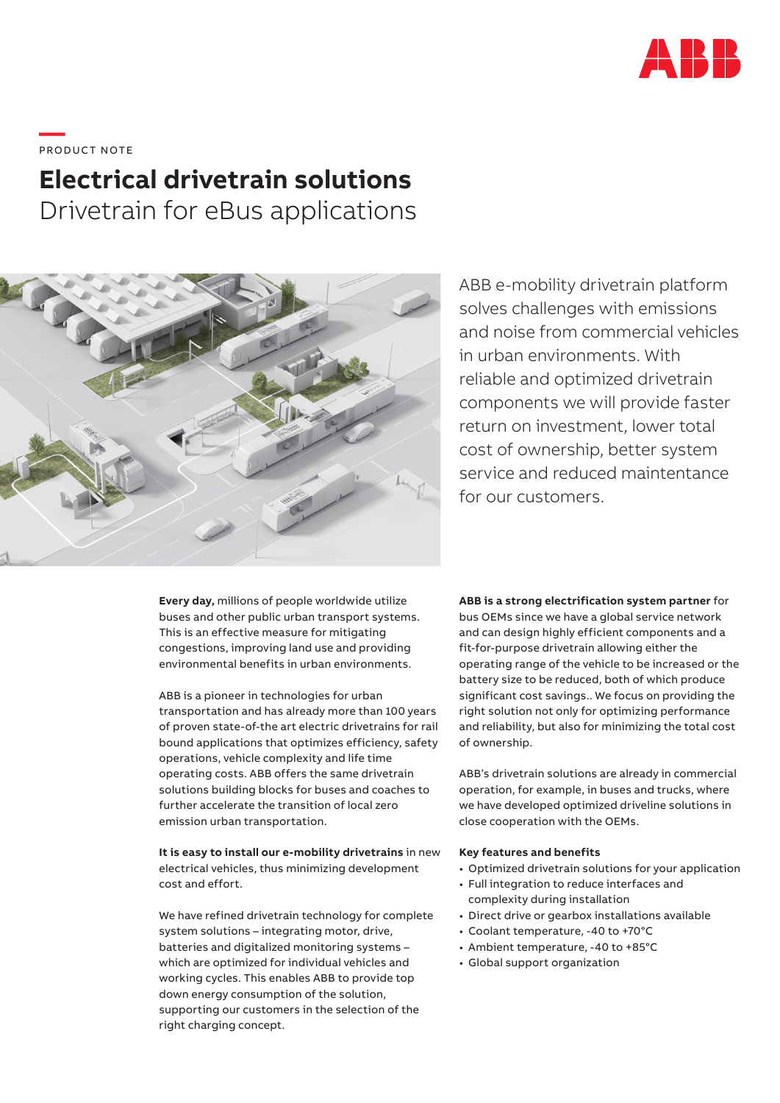

**—**  PRO DUC T NOTE

## **Electrical drivetrain solutions**

Drivetrain for eBus applications



ABB e-mobility drivetrain platform solves challenges with emissions and noise from commercial vehicles in urban environments. With reliable and optimized drivetrain components we will provide faster return on investment, lower total cost of ownership, better system service and reduced maintentance for our customers.

**Every day,** millions of people worldwide utilize buses and other public urban transport systems. This is an effective measure for mitigating congestions, improving land use and providing environmental benefits in urban environments.

ABB is a pioneer in technologies for urban transportation and has already more than 100 years of proven state-of-the art electric drivetrains for rail bound applications that optimizes efficiency, safety operations, vehicle complexity and life time operating costs. ABB offers the same drivetrain solutions building blocks for buses and coaches to further accelerate the transition of local zero emission urban transportation.

**It is easy to install our e-mobility drivetrains** in new electrical vehicles, thus minimizing development cost and effort.

We have refined drivetrain technology for complete system solutions – integrating motor, drive, batteries and digitalized monitoring systems – which are optimized for individual vehicles and working cycles. This enables ABB to provide top down energy consumption of the solution, supporting our customers in the selection of the right charging concept.

**ABB is a strong electrification system partner** for bus OEMs since we have a global service network and can design highly efficient components and a fit-for-purpose drivetrain allowing either the operating range of the vehicle to be increased or the battery size to be reduced, both of which produce significant cost savings.. We focus on providing the right solution not only for optimizing performance and reliability, but also for minimizing the total cost of ownership.

ABB's drivetrain solutions are already in commercial operation, for example, in buses and trucks, where we have developed optimized driveline solutions in close cooperation with the OEMs.

## **Key features and benefits**

- Optimized drivetrain solutions for your application
- Full integration to reduce interfaces and complexity during installation
- Direct drive or gearbox installations available
- Coolant temperature, -40 to +70°C
- Ambient temperature, -40 to +85°C
- Global support organization